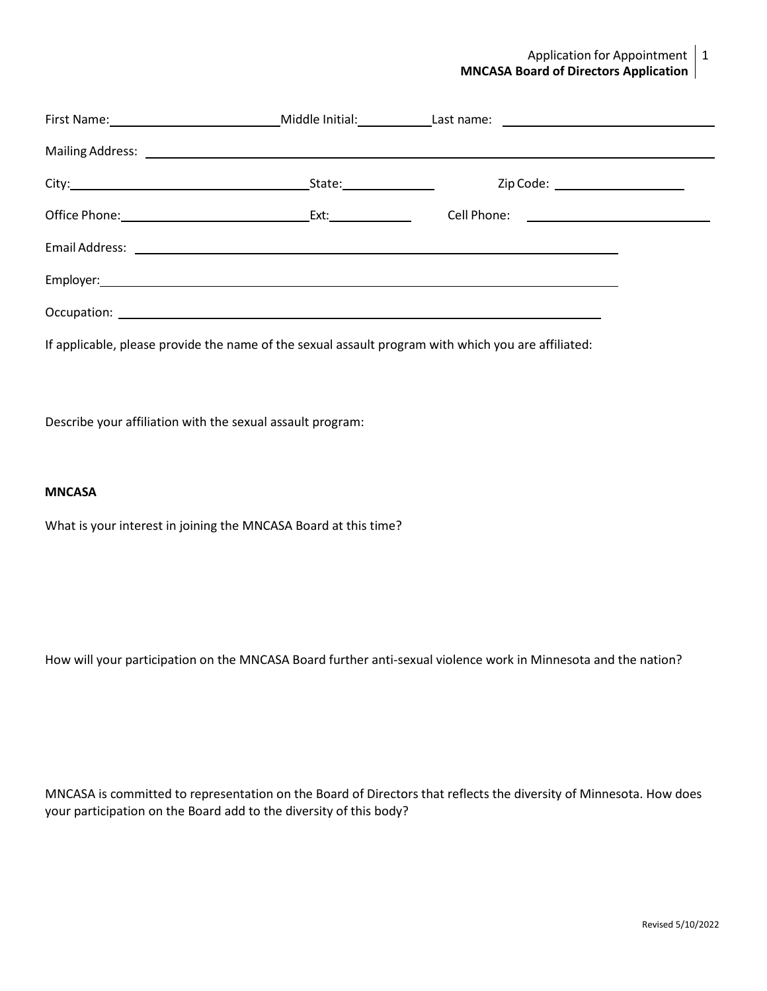### Application for Appointment  $\vert 1$ **MNCASA Board of Directors Application**

|  | Zip Code: _____________________                                                                     |  |
|--|-----------------------------------------------------------------------------------------------------|--|
|  | Cell Phone: <u>__________________________</u>                                                       |  |
|  |                                                                                                     |  |
|  |                                                                                                     |  |
|  |                                                                                                     |  |
|  | If applicable, please provide the name of the sexual assault program with which you are affiliated: |  |

Describe your affiliation with the sexual assault program:

#### **MNCASA**

What is your interest in joining the MNCASA Board at this time?

How will your participation on the MNCASA Board further anti-sexual violence work in Minnesota and the nation?

MNCASA is committed to representation on the Board of Directors that reflects the diversity of Minnesota. How does your participation on the Board add to the diversity of this body?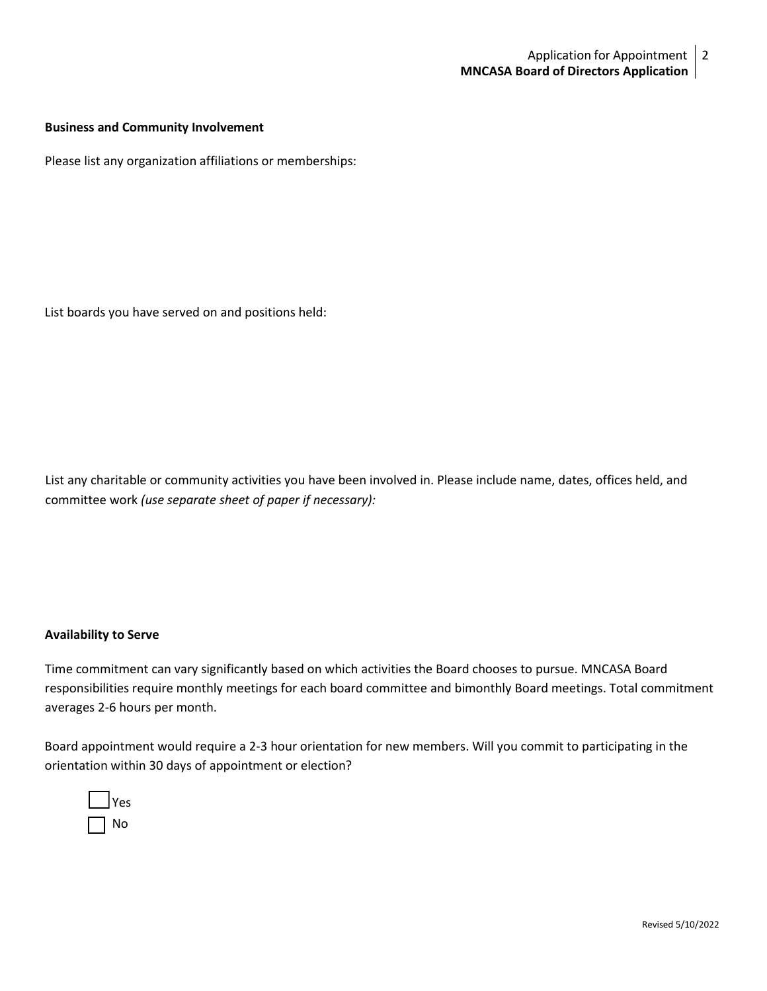### **Business and Community Involvement**

Please list any organization affiliations or memberships:

List boards you have served on and positions held:

List any charitable or community activities you have been involved in. Please include name, dates, offices held, and committee work *(use separate sheet of paper if necessary):*

#### **Availability to Serve**

Time commitment can vary significantly based on which activities the Board chooses to pursue. MNCASA Board responsibilities require monthly meetings for each board committee and bimonthly Board meetings. Total commitment averages 2-6 hours per month.

Board appointment would require a 2-3 hour orientation for new members. Will you commit to participating in the orientation within 30 days of appointment or election?

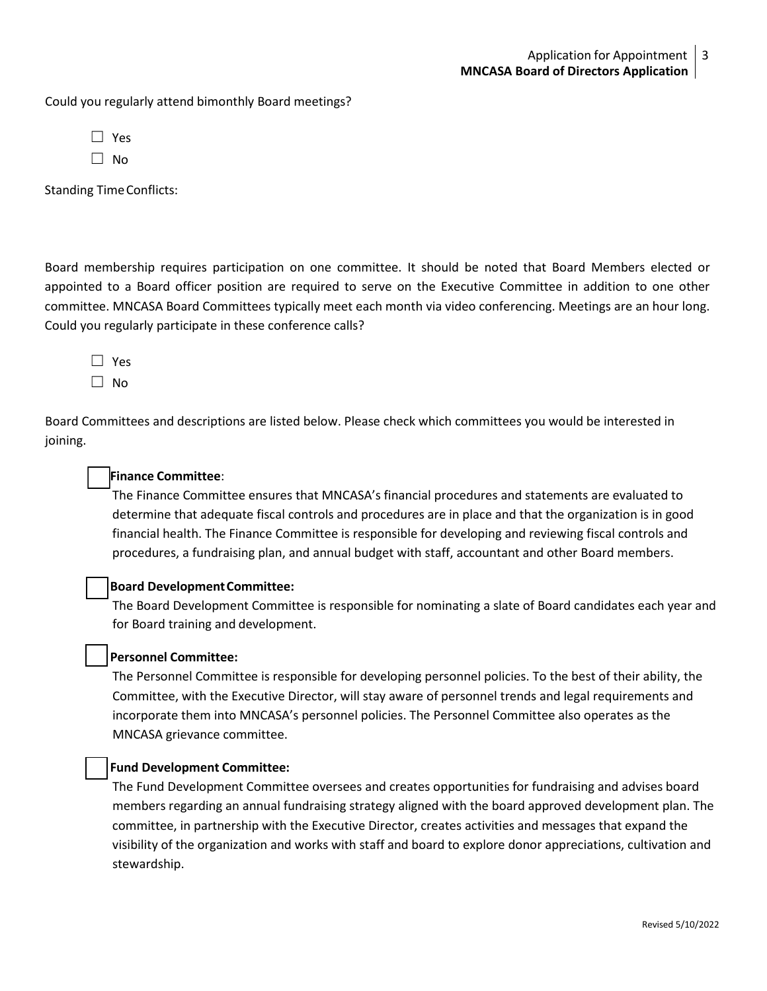Could you regularly attend bimonthly Board meetings?

| ×<br>۰, |
|---------|
|         |

 $\Box$  No

Standing TimeConflicts:

Board membership requires participation on one committee. It should be noted that Board Members elected or appointed to a Board officer position are required to serve on the Executive Committee in addition to one other committee. MNCASA Board Committees typically meet each month via video conferencing. Meetings are an hour long. Could you regularly participate in these conference calls?

☐ Yes  $\Box$  No

Board Committees and descriptions are listed below. Please check which committees you would be interested in joining.

### ☐ **Finance Committee**:

The Finance Committee ensures that MNCASA's financial procedures and statements are evaluated to determine that adequate fiscal controls and procedures are in place and that the organization is in good financial health. The Finance Committee is responsible for developing and reviewing fiscal controls and procedures, a fundraising plan, and annual budget with staff, accountant and other Board members.

### ☐ **Board DevelopmentCommittee:**

The Board Development Committee is responsible for nominating a slate of Board candidates each year and for Board training and development.

### ☐ **Personnel Committee:**

The Personnel Committee is responsible for developing personnel policies. To the best of their ability, the Committee, with the Executive Director, will stay aware of personnel trends and legal requirements and incorporate them into MNCASA's personnel policies. The Personnel Committee also operates as the MNCASA grievance committee.

### ☐ **Fund Development Committee:**

The Fund Development Committee oversees and creates opportunities for fundraising and advises board members regarding an annual fundraising strategy aligned with the board approved development plan. The committee, in partnership with the Executive Director, creates activities and messages that expand the visibility of the organization and works with staff and board to explore donor appreciations, cultivation and stewardship.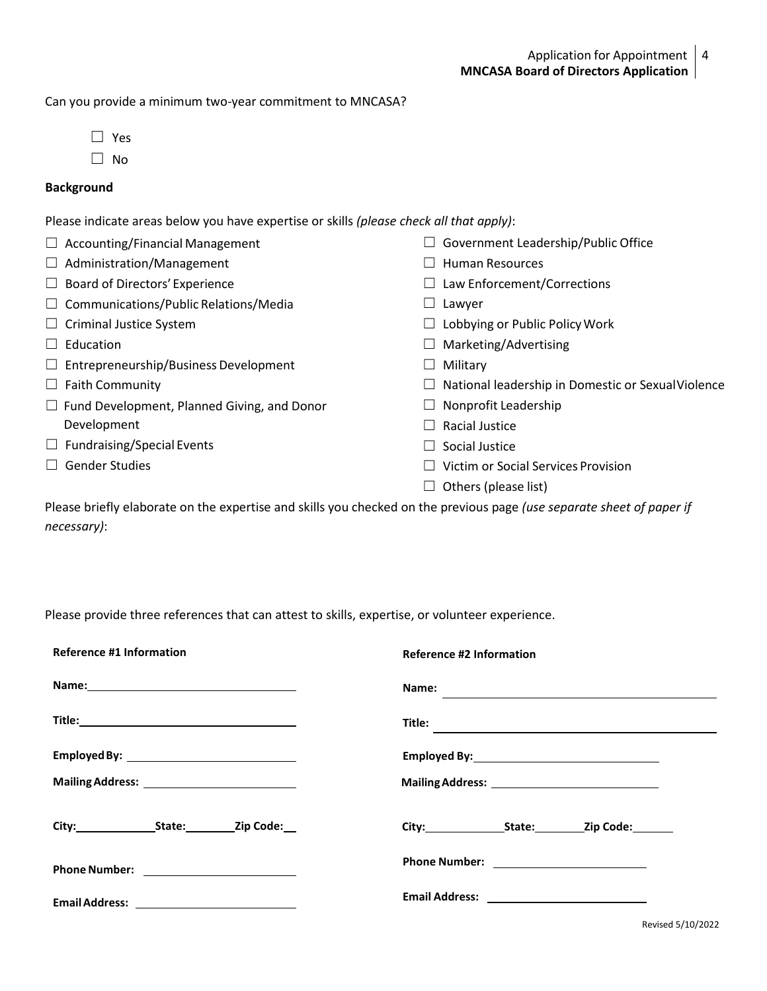Can you provide a minimum two-year commitment to MNCASA?

- ☐ Yes
- ☐ No

# **Background**

Please indicate areas below you have expertise or skills *(please check all that apply)*:

| $\Box$ Accounting/Financial Management             | Government Leadership/Public Office                |
|----------------------------------------------------|----------------------------------------------------|
| $\Box$ Administration/Management                   | <b>Human Resources</b>                             |
| $\Box$ Board of Directors' Experience              | Law Enforcement/Corrections                        |
| $\Box$ Communications/Public Relations/Media       | Lawyer                                             |
| $\Box$ Criminal Justice System                     | Lobbying or Public Policy Work                     |
| Education                                          | Marketing/Advertising                              |
| $\Box$ Entrepreneurship/Business Development       | Military                                           |
| $\Box$ Faith Community                             | National leadership in Domestic or Sexual Violence |
| $\Box$ Fund Development, Planned Giving, and Donor | Nonprofit Leadership                               |
| Development                                        | Racial Justice                                     |
| $\Box$ Fundraising/Special Events                  | Social Justice                                     |
| <b>Gender Studies</b>                              | Victim or Social Services Provision                |
|                                                    | Others (please list)                               |
|                                                    |                                                    |

Please briefly elaborate on the expertise and skills you checked on the previous page *(use separate sheet of paper if necessary)*:

Please provide three references that can attest to skills, expertise, or volunteer experience.

| <b>Reference #1 Information</b>               | <b>Reference #2 Information</b> |  |
|-----------------------------------------------|---------------------------------|--|
|                                               | Name:                           |  |
|                                               |                                 |  |
| Employed By: ________________________________ |                                 |  |
|                                               |                                 |  |
|                                               | City: State: Zip Code:          |  |
| Phone Number: <u>_______________________</u>  |                                 |  |
|                                               |                                 |  |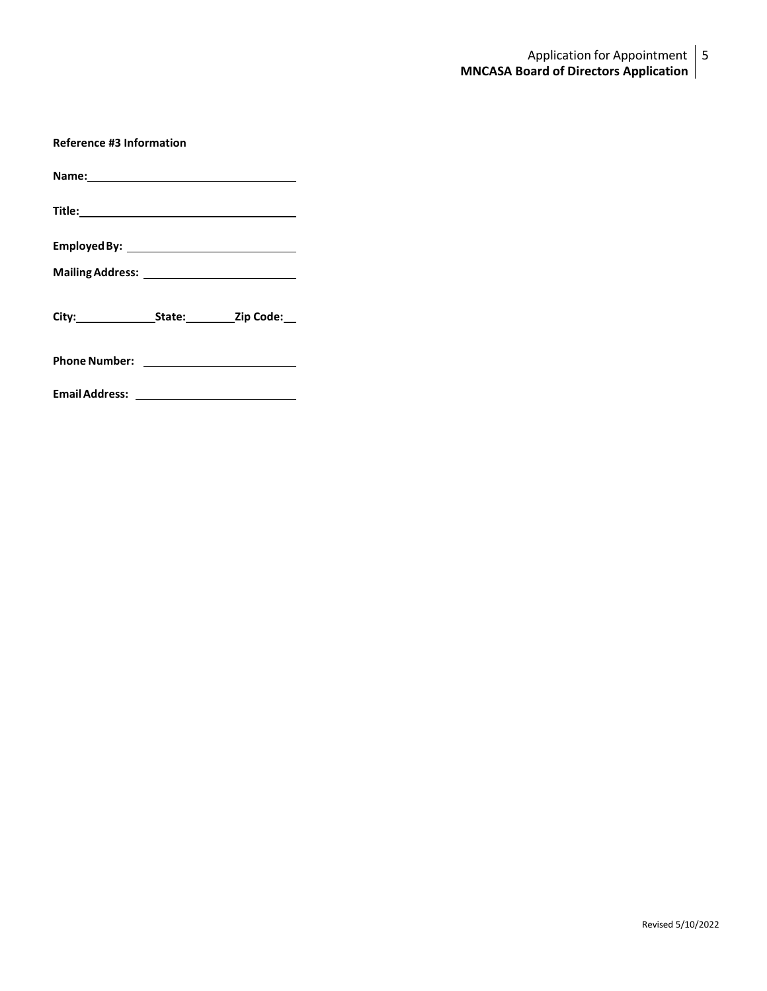# Application for Appointment | 5 **MNCASA Board of Directors Application**

| <b>Reference #3 Information</b> |                        |  |
|---------------------------------|------------------------|--|
|                                 |                        |  |
|                                 |                        |  |
|                                 |                        |  |
|                                 |                        |  |
|                                 | City: State: Zip Code: |  |
|                                 |                        |  |
|                                 |                        |  |